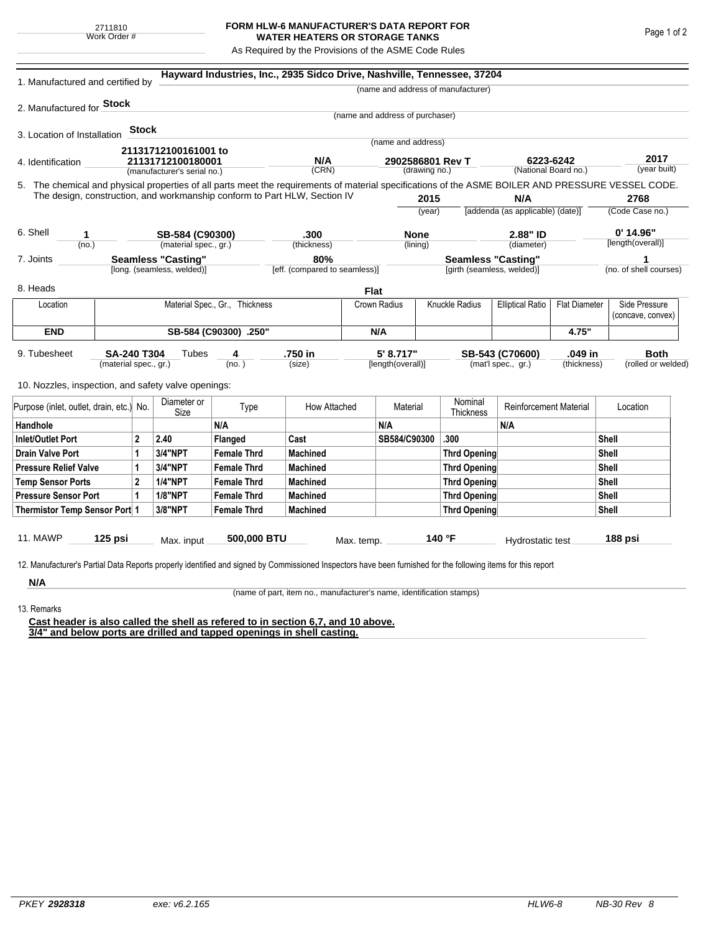## **FORM HLW-6 MANUFACTURER'S DATA REPORT FOR WATER HEATERS OR STORAGE TANKS**

As Required by the Provisions of the ASME Code Rules

| 1. Manufactured and certified by                                                                                                                                                                                                                                                   |                                |       |                                                  | Hayward Industries, Inc., 2935 Sidco Drive, Nashville, Tennessee, 37204 |                     |             |                                   |              |                                    |                                                 |       |                        |                                    |
|------------------------------------------------------------------------------------------------------------------------------------------------------------------------------------------------------------------------------------------------------------------------------------|--------------------------------|-------|--------------------------------------------------|-------------------------------------------------------------------------|---------------------|-------------|-----------------------------------|--------------|------------------------------------|-------------------------------------------------|-------|------------------------|------------------------------------|
|                                                                                                                                                                                                                                                                                    |                                |       |                                                  |                                                                         |                     |             |                                   |              | (name and address of manufacturer) |                                                 |       |                        |                                    |
| 2. Manufactured for Stock                                                                                                                                                                                                                                                          |                                |       |                                                  |                                                                         |                     |             |                                   |              |                                    |                                                 |       |                        |                                    |
|                                                                                                                                                                                                                                                                                    |                                |       |                                                  |                                                                         |                     |             | (name and address of purchaser)   |              |                                    |                                                 |       |                        |                                    |
| 3. Location of Installation                                                                                                                                                                                                                                                        |                                | Stock |                                                  |                                                                         |                     |             |                                   |              |                                    |                                                 |       |                        |                                    |
|                                                                                                                                                                                                                                                                                    |                                |       | 21131712100161001 to                             |                                                                         |                     |             | (name and address)                |              |                                    |                                                 |       |                        |                                    |
| 4. Identification                                                                                                                                                                                                                                                                  |                                |       | 21131712100180001<br>(manufacturer's serial no.) |                                                                         | N/A<br>(CRN)        |             | 2902586801 Rev T<br>(drawing no.) |              |                                    | 6223-6242<br>(National Board no.)               |       | 2017<br>(year built)   |                                    |
|                                                                                                                                                                                                                                                                                    |                                |       |                                                  |                                                                         |                     |             |                                   |              |                                    |                                                 |       |                        |                                    |
| 5. The chemical and physical properties of all parts meet the requirements of material specifications of the ASME BOILER AND PRESSURE VESSEL CODE.<br>The design, construction, and workmanship conform to Part HLW, Section IV<br>2015<br>N/A                                     |                                |       |                                                  |                                                                         |                     |             |                                   |              | 2768                               |                                                 |       |                        |                                    |
|                                                                                                                                                                                                                                                                                    |                                |       |                                                  |                                                                         |                     |             | (year)                            |              |                                    | [addenda (as applicable) (date)]                |       | (Code Case no.)        |                                    |
|                                                                                                                                                                                                                                                                                    |                                |       |                                                  |                                                                         |                     |             |                                   |              |                                    |                                                 |       |                        | $0'$ 14.96"                        |
| 6. Shell<br>1<br>(no.)                                                                                                                                                                                                                                                             |                                |       | SB-584 (C90300)<br>(material spec., gr.)         |                                                                         | .300<br>(thickness) |             | <b>None</b><br>(lining)           |              |                                    | 2.88" ID<br>(diameter)                          |       | [length(overall)]      |                                    |
| 7. Joints                                                                                                                                                                                                                                                                          | <b>Seamless "Casting"</b>      |       |                                                  |                                                                         | 80%                 |             |                                   |              | <b>Seamless "Casting"</b>          |                                                 |       |                        | 1                                  |
| [long. (seamless, welded)]                                                                                                                                                                                                                                                         |                                |       |                                                  | [eff. (compared to seamless)]                                           |                     |             | [girth (seamless, welded)]        |              |                                    |                                                 |       | (no. of shell courses) |                                    |
| 8. Heads                                                                                                                                                                                                                                                                           |                                |       |                                                  |                                                                         |                     | <b>Flat</b> |                                   |              |                                    |                                                 |       |                        |                                    |
| Location                                                                                                                                                                                                                                                                           | Material Spec., Gr., Thickness |       |                                                  |                                                                         |                     |             | Knuckle Radius<br>Crown Radius    |              |                                    | <b>Elliptical Ratio</b><br><b>Flat Diameter</b> |       |                        | Side Pressure<br>(concave, convex) |
| <b>END</b>                                                                                                                                                                                                                                                                         |                                |       |                                                  | SB-584 (C90300) .250"                                                   |                     |             | N/A                               |              |                                    |                                                 | 4.75" |                        |                                    |
| .750 in<br>5' 8.717"<br>.049 in<br><b>Both</b><br>9. Tubesheet<br><b>SA-240 T304</b><br>Tubes<br>SB-543 (C70600)<br>4<br>(mat'l spec., gr.)<br>(material spec., gr.)<br>(no.)<br>(size)<br>[length(overall)]<br>(thickness)<br>10. Nozzles, inspection, and safety valve openings: |                                |       |                                                  |                                                                         |                     |             |                                   |              | (rolled or welded)                 |                                                 |       |                        |                                    |
| Purpose (inlet, outlet, drain, etc.) No.                                                                                                                                                                                                                                           |                                |       | Diameter or<br>Size                              | Type                                                                    | How Attached        |             | Material                          |              | Nominal<br>Thickness               | <b>Reinforcement Material</b>                   |       |                        | Location                           |
| Handhole                                                                                                                                                                                                                                                                           |                                |       |                                                  | N/A                                                                     |                     |             | N/A                               |              |                                    | N/A                                             |       |                        |                                    |
| $\mathbf{2}$<br>Inlet/Outlet Port                                                                                                                                                                                                                                                  |                                |       | 2.40                                             | Flanged                                                                 | Cast                |             | SB584/C90300                      |              | .300                               |                                                 |       | Shell                  |                                    |
| Drain Valve Port<br>1                                                                                                                                                                                                                                                              |                                |       | <b>3/4"NPT</b>                                   | <b>Female Thrd</b>                                                      | <b>Machined</b>     |             |                                   |              | Thrd Opening                       |                                                 |       | Shell                  |                                    |
| <b>Pressure Relief Valve</b><br>1                                                                                                                                                                                                                                                  |                                |       | 3/4"NPT                                          | <b>Female Thrd</b>                                                      | <b>Machined</b>     |             |                                   |              | Thrd Opening                       |                                                 |       | Shell                  |                                    |
| $\overline{2}$<br><b>Temp Sensor Ports</b>                                                                                                                                                                                                                                         |                                |       | <b>1/4"NPT</b>                                   | <b>Female Thrd</b>                                                      | <b>Machined</b>     |             |                                   |              | Thrd Opening                       |                                                 |       | Shell                  |                                    |
| <b>Pressure Sensor Port</b><br>1                                                                                                                                                                                                                                                   |                                |       | <b>1/8"NPT</b>                                   | <b>Female Thrd</b>                                                      | <b>Machined</b>     |             |                                   |              | Thrd Opening                       |                                                 |       | Shell                  |                                    |
| Thermistor Temp Sensor Port 1                                                                                                                                                                                                                                                      |                                |       | 3/8"NPT                                          | <b>Female Thrd</b>                                                      | <b>Machined</b>     |             |                                   | Thrd Opening |                                    |                                                 |       | Shell                  |                                    |
| 11. MAWP<br>$125$ psi<br>500,000 BTU<br>140 °F<br>188 psi<br>Max. input<br>Hydrostatic test<br>Max. temp.<br>12. Manufacturer's Partial Data Reports properly identified and signed by Commissioned Inspectors have been furnished for the following items for this report         |                                |       |                                                  |                                                                         |                     |             |                                   |              |                                    |                                                 |       |                        |                                    |
| N/A                                                                                                                                                                                                                                                                                |                                |       |                                                  |                                                                         |                     |             |                                   |              |                                    |                                                 |       |                        |                                    |

(name of part, item no., manufacturer's name, identification stamps)

13. Remarks

**Cast header is also called the shell as refered to in section 6,7, and 10 above. 3/4" and below ports are drilled and tapped openings in shell casting.**